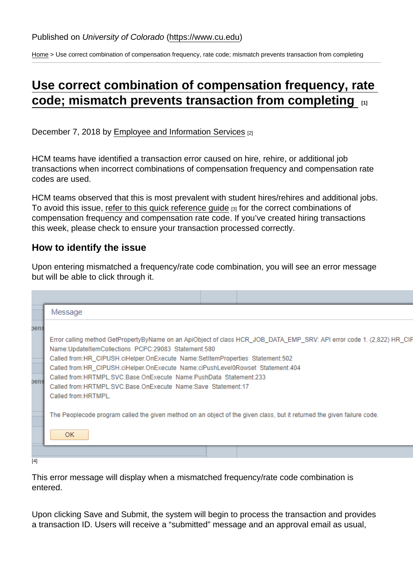[Home](https://www.cu.edu/) > Use correct combination of compensation frequency, rate code; mismatch prevents transaction from completing

## [Use correct combination of compensation frequency, rate](https://www.cu.edu/blog/hcm-community/use-correct-combination-compensation-frequency-rate-code-mismatch-prevents)  [code; mismatch prevents transaction from completing](https://www.cu.edu/blog/hcm-community/use-correct-combination-compensation-frequency-rate-code-mismatch-prevents)  $\qquad \qquad$

December 7, 2018 by [Employee and Information Services](https://www.cu.edu/blog/hcm-community/author/23) [2]

HCM teams have identified a transaction error caused on hire, rehire, or additional job transactions when incorrect combinations of compensation frequency and compensation rate codes are used.

HCM teams observed that this is most prevalent with student hires/rehires and additional jobs. To avoid this issue, refer to this quick reference quide  $[3]$  for the correct combinations of compensation frequency and compensation rate code. If you've created hiring transactions this week, please check to ensure your transaction processed correctly.

How to identify the issue

Upon entering mismatched a frequency/rate code combination, you will see an error message but will be able to click through it.

[4]

This error message will display when a mismatched frequency/rate code combination is entered.

Upon clicking Save and Submit, the system will begin to process the transaction and provides a transaction ID. Users will receive a "submitted" message and an approval email as usual,